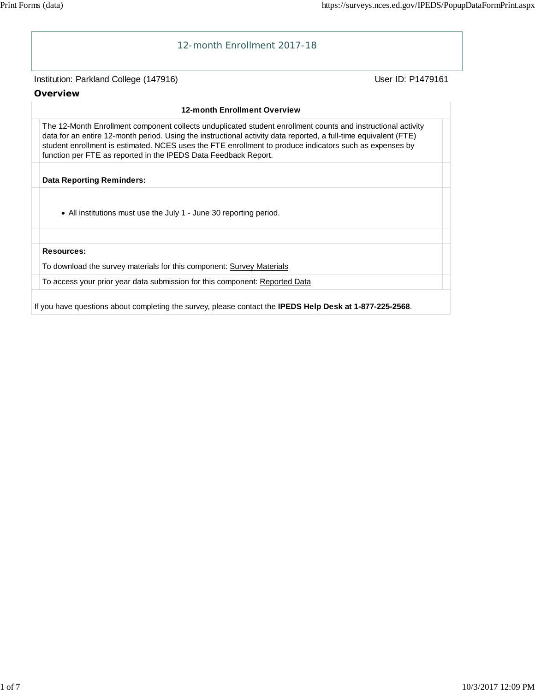

If you have questions about completing the survey, please contact the **IPEDS Help Desk at 1-877-225-2568**.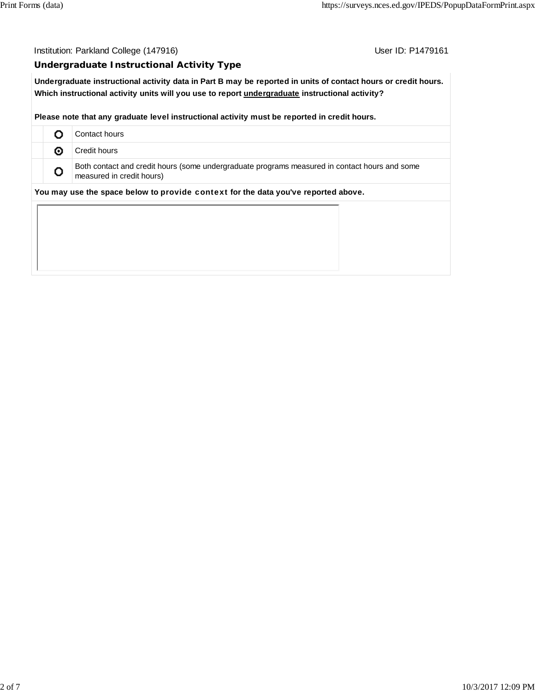Institution: Parkland College (147916) Contact College (147916)

## **Undergraduate Instructional Activity Type**

**Undergraduate instructional activity data in Part B may be reported in units of contact hours or credit hours. Which instructional activity units will you use to report undergraduate instructional activity?**

**Please note that any graduate level instructional activity must be reported in credit hours.**

|   | Contact hours                                                                                                              |
|---|----------------------------------------------------------------------------------------------------------------------------|
| ⊙ | Credit hours                                                                                                               |
| o | Both contact and credit hours (some undergraduate programs measured in contact hours and some<br>measured in credit hours) |
|   | You may use the space below to provide context for the data you've reported above.                                         |
|   |                                                                                                                            |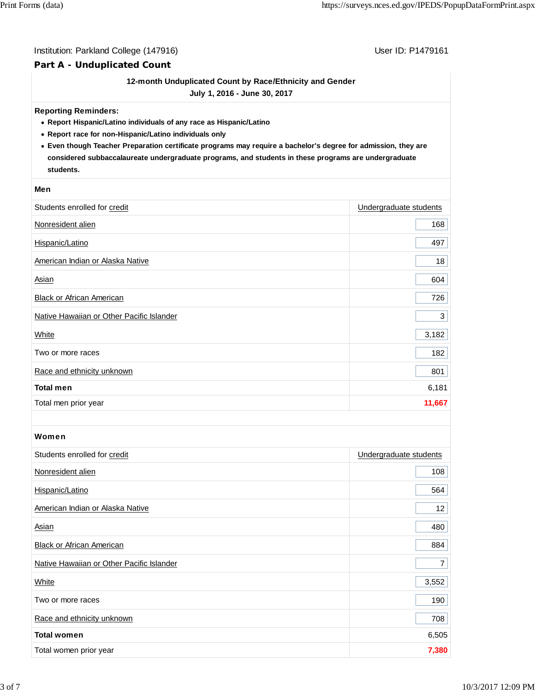## Institution: Parkland College (147916) Contract College (147916)

## **Part A - Unduplicated Count**

## **12-month Unduplicated Count by Race/Ethnicity and Gender**

**July 1, 2016 - June 30, 2017**

#### **Reporting Reminders:**

- **Report Hispanic/Latino individuals of any race as Hispanic/Latino**
- **Report race for non-Hispanic/Latino individuals only**
- **Even though Teacher Preparation certificate programs may require a bachelor's degree for admission, they are considered subbaccalaureate undergraduate programs, and students in these programs are undergraduate students.**

#### **Men**

| Students enrolled for credit              | Undergraduate students |
|-------------------------------------------|------------------------|
| Nonresident alien                         | 168                    |
| Hispanic/Latino                           | 497                    |
| American Indian or Alaska Native          | 18                     |
| <b>Asian</b>                              | 604                    |
| Black or African American                 | 726                    |
| Native Hawaiian or Other Pacific Islander | 3                      |
| White                                     | 3,182                  |
| Two or more races                         | 182                    |
| Race and ethnicity unknown                | 801                    |
| <b>Total men</b>                          | 6,181                  |
| Total men prior year                      | 11,667                 |

#### Women

| Students enrolled for credit              | Undergraduate students |
|-------------------------------------------|------------------------|
| Nonresident alien                         | 108                    |
| Hispanic/Latino                           | 564                    |
| American Indian or Alaska Native          | 12 <sub>2</sub>        |
| Asian                                     | 480                    |
| <b>Black or African American</b>          | 884                    |
| Native Hawaiian or Other Pacific Islander | $\overline{7}$         |
| White                                     | 3,552                  |
| Two or more races                         | 190                    |
| Race and ethnicity unknown                | 708                    |
| <b>Total women</b>                        | 6,505                  |
| Total women prior year                    | 7,380                  |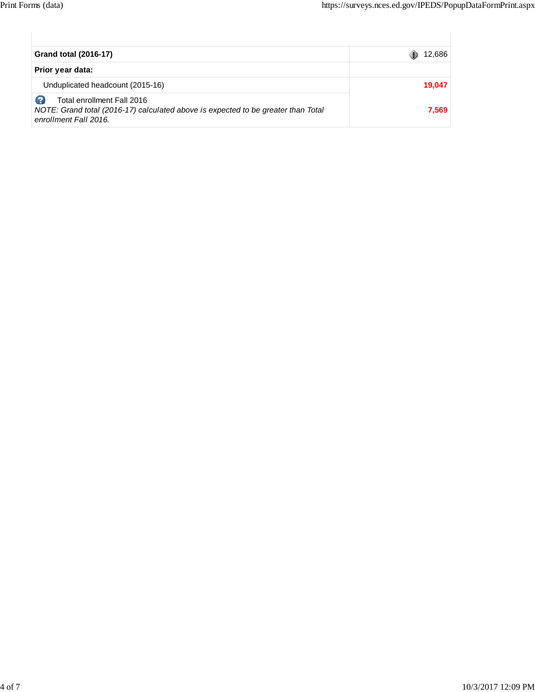| <b>Grand total (2016-17)</b>                                                                                                             | 12,686 |
|------------------------------------------------------------------------------------------------------------------------------------------|--------|
| Prior year data:                                                                                                                         |        |
| Unduplicated headcount (2015-16)                                                                                                         | 19,047 |
| Total enrollment Fall 2016<br>NOTE: Grand total (2016-17) calculated above is expected to be greater than Total<br>enrollment Fall 2016. | 7,569  |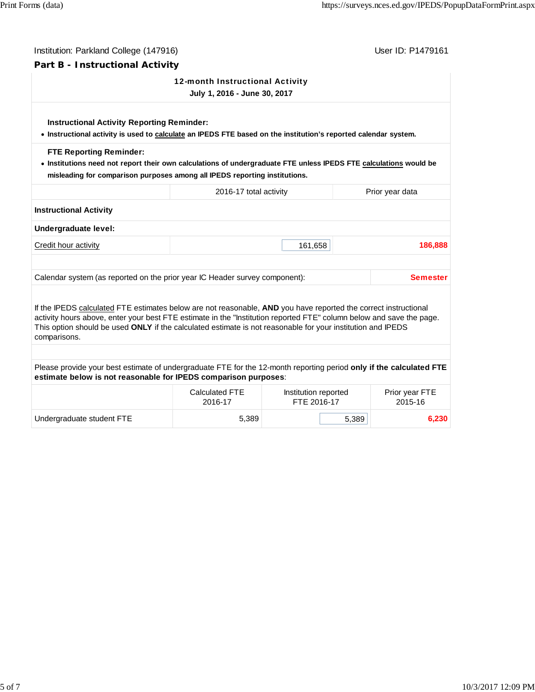| Part B - Instructional Activity<br>12-month Instructional Activity<br>July 1, 2016 - June 30, 2017<br><b>Instructional Activity Reporting Reminder:</b><br>• Instructional activity is used to calculate an IPEDS FTE based on the institution's reported calendar system.<br><b>FTE Reporting Reminder:</b><br>. Institutions need not report their own calculations of undergraduate FTE unless IPEDS FTE calculations would be<br>misleading for comparison purposes among all IPEDS reporting institutions. |                 |
|-----------------------------------------------------------------------------------------------------------------------------------------------------------------------------------------------------------------------------------------------------------------------------------------------------------------------------------------------------------------------------------------------------------------------------------------------------------------------------------------------------------------|-----------------|
|                                                                                                                                                                                                                                                                                                                                                                                                                                                                                                                 |                 |
|                                                                                                                                                                                                                                                                                                                                                                                                                                                                                                                 |                 |
|                                                                                                                                                                                                                                                                                                                                                                                                                                                                                                                 |                 |
|                                                                                                                                                                                                                                                                                                                                                                                                                                                                                                                 |                 |
| 2016-17 total activity<br>Prior year data                                                                                                                                                                                                                                                                                                                                                                                                                                                                       |                 |
| <b>Instructional Activity</b>                                                                                                                                                                                                                                                                                                                                                                                                                                                                                   |                 |
| Undergraduate level:                                                                                                                                                                                                                                                                                                                                                                                                                                                                                            |                 |
| Credit hour activity<br>161,658                                                                                                                                                                                                                                                                                                                                                                                                                                                                                 | 186,888         |
| Calendar system (as reported on the prior year IC Header survey component):                                                                                                                                                                                                                                                                                                                                                                                                                                     | <b>Semester</b> |
| If the IPEDS calculated FTE estimates below are not reasonable, AND you have reported the correct instructional<br>activity hours above, enter your best FTE estimate in the "Institution reported FTE" column below and save the page.<br>This option should be used ONLY if the calculated estimate is not reasonable for your institution and IPEDS                                                                                                                                                          |                 |
| comparisons.                                                                                                                                                                                                                                                                                                                                                                                                                                                                                                    |                 |
|                                                                                                                                                                                                                                                                                                                                                                                                                                                                                                                 |                 |
| Please provide your best estimate of undergraduate FTE for the 12-month reporting period only if the calculated FTE<br>estimate below is not reasonable for IPEDS comparison purposes:                                                                                                                                                                                                                                                                                                                          |                 |
| <b>Calculated FTE</b><br>Institution reported<br>Prior year FTE<br>FTE 2016-17<br>2015-16<br>2016-17                                                                                                                                                                                                                                                                                                                                                                                                            |                 |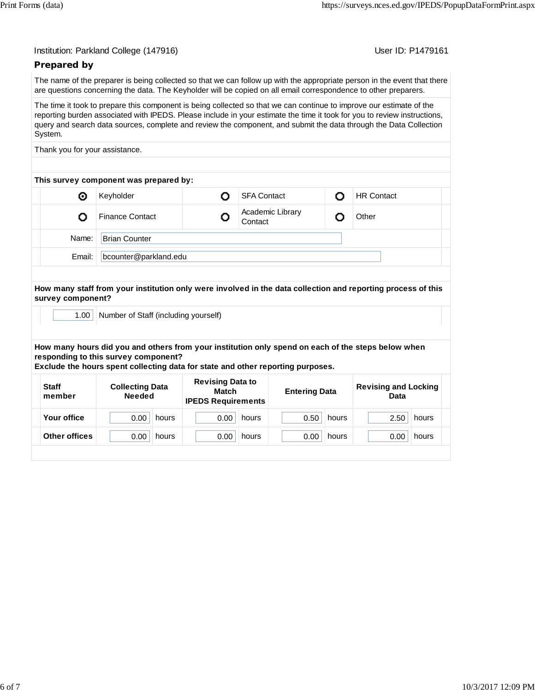User ID: P1479161

# **Prepared by**

The name of the preparer is being collected so that we can follow up with the appropriate person in the event that there are questions concerning the data. The Keyholder will be copied on all email correspondence to other preparers.

The time it took to prepare this component is being collected so that we can continue to improve our estimate of the reporting burden associated with IPEDS. Please include in your estimate the time it took for you to review instructions, query and search data sources, complete and review the component, and submit the data through the Data Collection System.

Thank you for your assistance.

| This survey component was prepared by: |                        |  |                             |  |                   |  |  |
|----------------------------------------|------------------------|--|-----------------------------|--|-------------------|--|--|
| Θ                                      | Keyholder              |  | <b>SFA Contact</b>          |  | <b>HR Contact</b> |  |  |
|                                        | <b>Finance Contact</b> |  | Academic Library<br>Contact |  | Other             |  |  |
| Name:                                  | <b>Brian Counter</b>   |  |                             |  |                   |  |  |
| Email:                                 |                        |  |                             |  |                   |  |  |
|                                        |                        |  | bcounter@parkland.edu       |  |                   |  |  |

**How many staff from your institution only were involved in the data collection and reporting process of this survey component?**

1.00 | Number of Staff (including yourself)

**How many hours did you and others from your institution only spend on each of the steps below when responding to this survey component?**

**Exclude the hours spent collecting data for state and other reporting purposes.**

| <b>Staff</b><br>member | <b>Collecting Data</b><br><b>Needed</b> | <b>Revising Data to</b><br>Match<br><b>IPEDS Requirements</b> | <b>Entering Data</b> | <b>Revising and Locking</b><br>Data |  |
|------------------------|-----------------------------------------|---------------------------------------------------------------|----------------------|-------------------------------------|--|
| Your office            | 0.00<br>hours                           | 0.00<br>hours                                                 | 0.50<br>hours        | 2.50<br>hours                       |  |
| Other offices          | 0.00<br>hours                           | 0.00<br>hours                                                 | 0.00<br>hours        | 0.00<br>hours                       |  |
|                        |                                         |                                                               |                      |                                     |  |